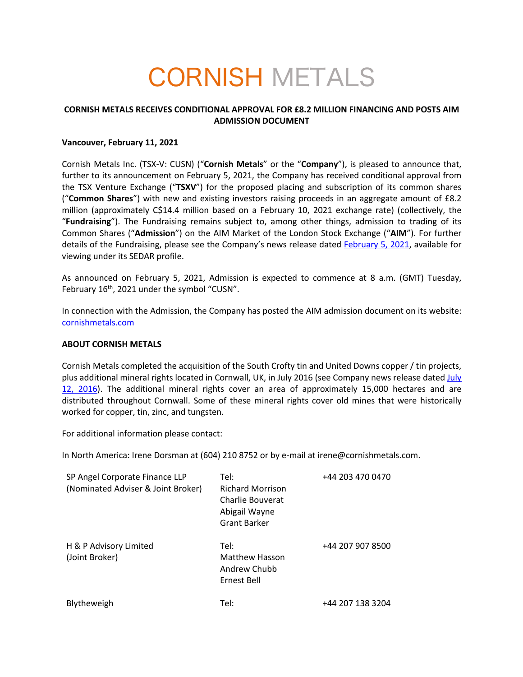# CORNISH METALS

## **CORNISH METALS RECEIVES CONDITIONAL APPROVAL FOR £8.2 MILLION FINANCING AND POSTS AIM ADMISSION DOCUMENT**

### **Vancouver, February 11, 2021**

Cornish Metals Inc. (TSX-V: CUSN) ("**Cornish Metals**" or the "**Company**"), is pleased to announce that, further to its announcement on February 5, 2021, the Company has received conditional approval from the TSX Venture Exchange ("**TSXV**") for the proposed placing and subscription of its common shares ("**Common Shares**") with new and existing investors raising proceeds in an aggregate amount of £8.2 million (approximately C\$14.4 million based on a February 10, 2021 exchange rate) (collectively, the "**Fundraising**"). The Fundraising remains subject to, among other things, admission to trading of its Common Shares ("**Admission**") on the AIM Market of the London Stock Exchange ("**AIM**"). For further details of the Fundraising, please see the Company's news release dated February 5, 2021, available for viewing under its SEDAR profile.

As announced on February 5, 2021, Admission is expected to commence at 8 a.m. (GMT) Tuesday, February 16<sup>th</sup>, 2021 under the symbol "CUSN".

In connection with the Admission, the Company has posted the AIM admission document on its website: cornishmetals.com

#### **ABOUT CORNISH METALS**

Cornish Metals completed the acquisition of the South Crofty tin and United Downs copper / tin projects, plus additional mineral rights located in Cornwall, UK, in July 2016 (see Company news release dated July 12, 2016). The additional mineral rights cover an area of approximately 15,000 hectares and are distributed throughout Cornwall. Some of these mineral rights cover old mines that were historically worked for copper, tin, zinc, and tungsten.

For additional information please contact:

In North America: Irene Dorsman at (604) 210 8752 or by e-mail at irene@cornishmetals.com.

| SP Angel Corporate Finance LLP<br>(Nominated Adviser & Joint Broker) | Tel:<br><b>Richard Morrison</b><br>Charlie Bouverat<br>Abigail Wayne<br>Grant Barker | +44 203 470 0470 |
|----------------------------------------------------------------------|--------------------------------------------------------------------------------------|------------------|
| H & P Advisory Limited<br>(Joint Broker)                             | Tel:<br><b>Matthew Hasson</b><br>Andrew Chubb<br>Ernest Bell                         | +44 207 907 8500 |
| Blytheweigh                                                          | Tel:                                                                                 | +44 207 138 3204 |